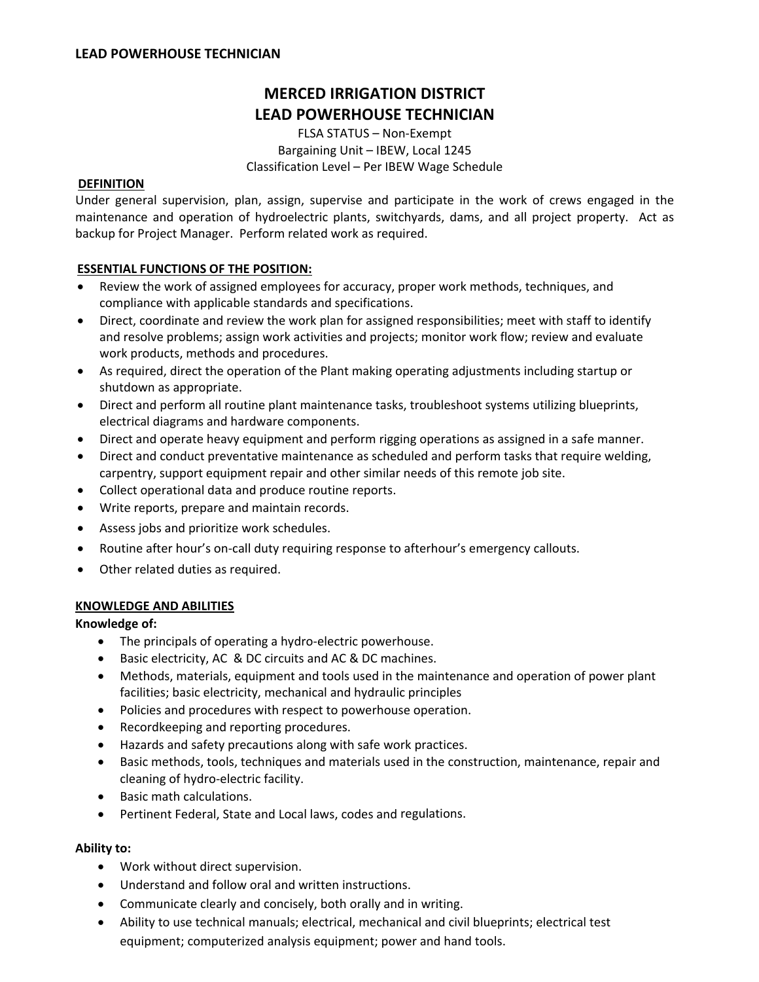# **MERCED IRRIGATION DISTRICT LEAD POWERHOUSE TECHNICIAN**

FLSA STATUS – Non‐Exempt Bargaining Unit – IBEW, Local 1245 Classification Level – Per IBEW Wage Schedule

# **DEFINITION**

Under general supervision, plan, assign, supervise and participate in the work of crews engaged in the maintenance and operation of hydroelectric plants, switchyards, dams, and all project property. Act as backup for Project Manager. Perform related work as required.

# **ESSENTIAL FUNCTIONS OF THE POSITION:**

- Review the work of assigned employees for accuracy, proper work methods, techniques, and compliance with applicable standards and specifications.
- Direct, coordinate and review the work plan for assigned responsibilities; meet with staff to identify and resolve problems; assign work activities and projects; monitor work flow; review and evaluate work products, methods and procedures.
- As required, direct the operation of the Plant making operating adjustments including startup or shutdown as appropriate.
- Direct and perform all routine plant maintenance tasks, troubleshoot systems utilizing blueprints, electrical diagrams and hardware components.
- Direct and operate heavy equipment and perform rigging operations as assigned in a safe manner.
- Direct and conduct preventative maintenance as scheduled and perform tasks that require welding, carpentry, support equipment repair and other similar needs of this remote job site.
- Collect operational data and produce routine reports.
- Write reports, prepare and maintain records.
- Assess jobs and prioritize work schedules.
- Routine after hour's on-call duty requiring response to afterhour's emergency callouts.
- Other related duties as required.

# **KNOWLEDGE AND ABILITIES**

# **Knowledge of:**

- The principals of operating a hydro‐electric powerhouse.
- Basic electricity, AC & DC circuits and AC & DC machines.
- Methods, materials, equipment and tools used in the maintenance and operation of power plant facilities; basic electricity, mechanical and hydraulic principles
- Policies and procedures with respect to powerhouse operation.
- Recordkeeping and reporting procedures.
- Hazards and safety precautions along with safe work practices.
- Basic methods, tools, techniques and materials used in the construction, maintenance, repair and cleaning of hydro‐electric facility.
- Basic math calculations.
- Pertinent Federal, State and Local laws, codes and regulations.

# **Ability to:**

- Work without direct supervision.
- Understand and follow oral and written instructions.
- Communicate clearly and concisely, both orally and in writing.
- Ability to use technical manuals; electrical, mechanical and civil blueprints; electrical test equipment; computerized analysis equipment; power and hand tools.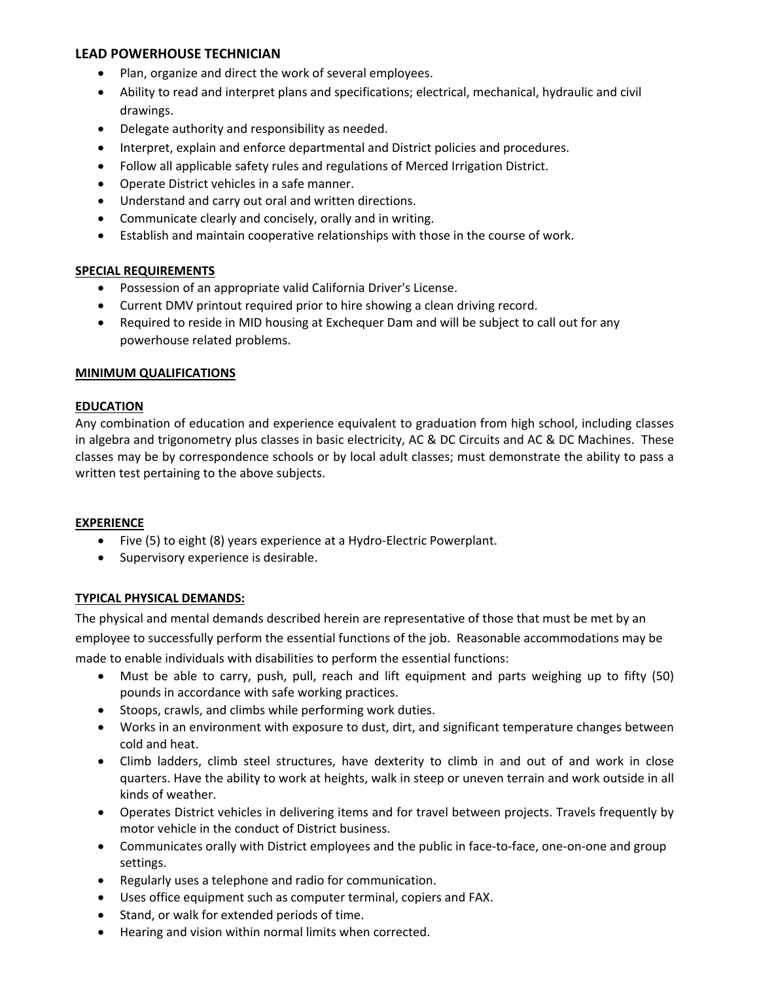# **LEAD POWERHOUSE TECHNICIAN**

- Plan, organize and direct the work of several employees.
- Ability to read and interpret plans and specifications; electrical, mechanical, hydraulic and civil drawings.
- Delegate authority and responsibility as needed.
- Interpret, explain and enforce departmental and District policies and procedures.
- Follow all applicable safety rules and regulations of Merced Irrigation District.
- Operate District vehicles in a safe manner.
- Understand and carry out oral and written directions.
- Communicate clearly and concisely, orally and in writing.
- Establish and maintain cooperative relationships with those in the course of work.

# **SPECIAL REQUIREMENTS**

- Possession of an appropriate valid California Driver's License.
- Current DMV printout required prior to hire showing a clean driving record.
- Required to reside in MID housing at Exchequer Dam and will be subject to call out for any powerhouse related problems.

#### **MINIMUM QUALIFICATIONS**

# **EDUCATION**

Any combination of education and experience equivalent to graduation from high school, including classes in algebra and trigonometry plus classes in basic electricity, AC & DC Circuits and AC & DC Machines. These classes may be by correspondence schools or by local adult classes; must demonstrate the ability to pass a written test pertaining to the above subjects.

#### **EXPERIENCE**

- Five (5) to eight (8) years experience at a Hydro‐Electric Powerplant.
- Supervisory experience is desirable.

# **TYPICAL PHYSICAL DEMANDS:**

The physical and mental demands described herein are representative of those that must be met by an employee to successfully perform the essential functions of the job. Reasonable accommodations may be made to enable individuals with disabilities to perform the essential functions:

- Must be able to carry, push, pull, reach and lift equipment and parts weighing up to fifty (50) pounds in accordance with safe working practices.
- Stoops, crawls, and climbs while performing work duties.
- Works in an environment with exposure to dust, dirt, and significant temperature changes between cold and heat.
- Climb ladders, climb steel structures, have dexterity to climb in and out of and work in close quarters. Have the ability to work at heights, walk in steep or uneven terrain and work outside in all kinds of weather.
- Operates District vehicles in delivering items and for travel between projects. Travels frequently by motor vehicle in the conduct of District business.
- Communicates orally with District employees and the public in face-to-face, one-on-one and group settings.
- Regularly uses a telephone and radio for communication.
- Uses office equipment such as computer terminal, copiers and FAX.
- Stand, or walk for extended periods of time.
- Hearing and vision within normal limits when corrected.